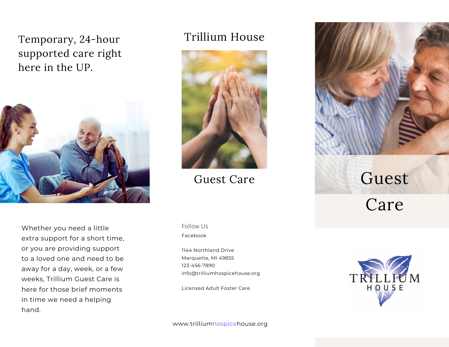## Temporary, 24-hour supported care right here in the UP.



Whether you need a little extra support for a short time, or you are providing support to a loved one and need to be away for a day, week, or a few weeks, Trillium Guest Care is here for those brief moments in time we need a helping hand.

### Trillium House



Guest Care

Facebook Follow Us

1144 Northland Drive Marquette, MI 49855 123-456-7890 info@trilliumhospicehouse.org

Licensed Adult Foster Care



## Guest

Care